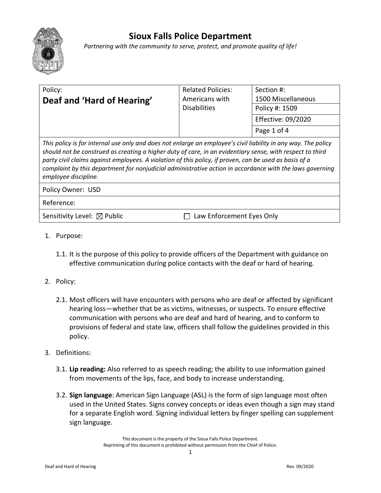

## **Sioux Falls Police Department**

*Partnering with the community to serve, protect, and promote quality of life!*

| Policy:<br>Deaf and 'Hard of Hearing'                                                                                                                                                                                                                                                                                                                                                                                                                                     | <b>Related Policies:</b><br>Americans with | Section #:<br>1500 Miscellaneous |
|---------------------------------------------------------------------------------------------------------------------------------------------------------------------------------------------------------------------------------------------------------------------------------------------------------------------------------------------------------------------------------------------------------------------------------------------------------------------------|--------------------------------------------|----------------------------------|
|                                                                                                                                                                                                                                                                                                                                                                                                                                                                           | <b>Disabilities</b>                        | Policy #: 1509                   |
|                                                                                                                                                                                                                                                                                                                                                                                                                                                                           |                                            | <b>Effective: 09/2020</b>        |
|                                                                                                                                                                                                                                                                                                                                                                                                                                                                           |                                            | Page 1 of 4                      |
| This policy is for internal use only and does not enlarge an employee's civil liability in any way. The policy<br>should not be construed as creating a higher duty of care, in an evidentiary sense, with respect to third<br>party civil claims against employees. A violation of this policy, if proven, can be used as basis of a<br>complaint by this department for nonjudicial administrative action in accordance with the laws governing<br>employee discipline. |                                            |                                  |
| Policy Owner: USD                                                                                                                                                                                                                                                                                                                                                                                                                                                         |                                            |                                  |
| Reference:                                                                                                                                                                                                                                                                                                                                                                                                                                                                |                                            |                                  |
| Sensitivity Level: $\boxtimes$ Public                                                                                                                                                                                                                                                                                                                                                                                                                                     | Law Enforcement Eyes Only                  |                                  |

- 1. Purpose:
	- 1.1. It is the purpose of this policy to provide officers of the Department with guidance on effective communication during police contacts with the deaf or hard of hearing.
- 2. Policy:
	- 2.1. Most officers will have encounters with persons who are deaf or affected by significant hearing loss—whether that be as victims, witnesses, or suspects. To ensure effective communication with persons who are deaf and hard of hearing, and to conform to provisions of federal and state law, officers shall follow the guidelines provided in this policy.
- 3. Definitions:
	- 3.1. **Lip reading:** Also referred to as speech reading; the ability to use information gained from movements of the lips, face, and body to increase understanding.
	- 3.2. **Sign language**: American Sign Language (ASL) is the form of sign language most often used in the United States. Signs convey concepts or ideas even though a sign may stand for a separate English word. Signing individual letters by finger spelling can supplement sign language.

This document is the property of the Sioux Falls Police Department. Reprinting of this document is prohibited without permission from the Chief of Police.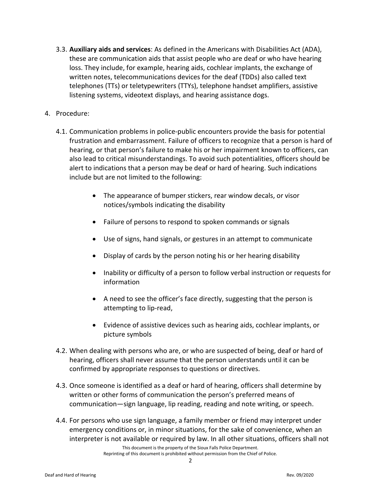- 3.3. **Auxiliary aids and services**: As defined in the Americans with Disabilities Act (ADA), these are communication aids that assist people who are deaf or who have hearing loss. They include, for example, hearing aids, cochlear implants, the exchange of written notes, telecommunications devices for the deaf (TDDs) also called text telephones (TTs) or teletypewriters (TTYs), telephone handset amplifiers, assistive listening systems, videotext displays, and hearing assistance dogs.
- 4. Procedure:
	- 4.1. Communication problems in police-public encounters provide the basis for potential frustration and embarrassment. Failure of officers to recognize that a person is hard of hearing, or that person's failure to make his or her impairment known to officers, can also lead to critical misunderstandings. To avoid such potentialities, officers should be alert to indications that a person may be deaf or hard of hearing. Such indications include but are not limited to the following:
		- The appearance of bumper stickers, rear window decals, or visor notices/symbols indicating the disability
		- Failure of persons to respond to spoken commands or signals
		- Use of signs, hand signals, or gestures in an attempt to communicate
		- Display of cards by the person noting his or her hearing disability
		- Inability or difficulty of a person to follow verbal instruction or requests for information
		- A need to see the officer's face directly, suggesting that the person is attempting to lip-read,
		- Evidence of assistive devices such as hearing aids, cochlear implants, or picture symbols
	- 4.2. When dealing with persons who are, or who are suspected of being, deaf or hard of hearing, officers shall never assume that the person understands until it can be confirmed by appropriate responses to questions or directives.
	- 4.3. Once someone is identified as a deaf or hard of hearing, officers shall determine by written or other forms of communication the person's preferred means of communication—sign language, lip reading, reading and note writing, or speech.
	- 4.4. For persons who use sign language, a family member or friend may interpret under emergency conditions or, in minor situations, for the sake of convenience, when an interpreter is not available or required by law. In all other situations, officers shall not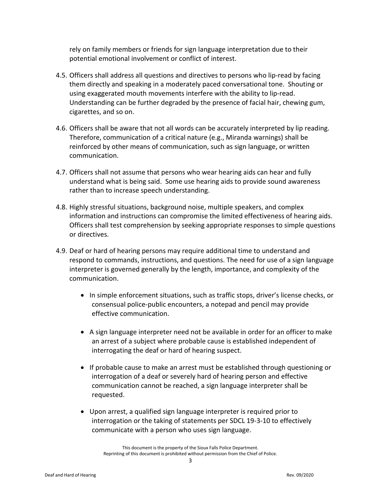rely on family members or friends for sign language interpretation due to their potential emotional involvement or conflict of interest.

- 4.5. Officers shall address all questions and directives to persons who lip-read by facing them directly and speaking in a moderately paced conversational tone. Shouting or using exaggerated mouth movements interfere with the ability to lip-read. Understanding can be further degraded by the presence of facial hair, chewing gum, cigarettes, and so on.
- 4.6. Officers shall be aware that not all words can be accurately interpreted by lip reading. Therefore, communication of a critical nature (e.g., Miranda warnings) shall be reinforced by other means of communication, such as sign language, or written communication.
- 4.7. Officers shall not assume that persons who wear hearing aids can hear and fully understand what is being said. Some use hearing aids to provide sound awareness rather than to increase speech understanding.
- 4.8. Highly stressful situations, background noise, multiple speakers, and complex information and instructions can compromise the limited effectiveness of hearing aids. Officers shall test comprehension by seeking appropriate responses to simple questions or directives.
- 4.9. Deaf or hard of hearing persons may require additional time to understand and respond to commands, instructions, and questions. The need for use of a sign language interpreter is governed generally by the length, importance, and complexity of the communication.
	- In simple enforcement situations, such as traffic stops, driver's license checks, or consensual police-public encounters, a notepad and pencil may provide effective communication.
	- A sign language interpreter need not be available in order for an officer to make an arrest of a subject where probable cause is established independent of interrogating the deaf or hard of hearing suspect.
	- If probable cause to make an arrest must be established through questioning or interrogation of a deaf or severely hard of hearing person and effective communication cannot be reached, a sign language interpreter shall be requested.
	- Upon arrest, a qualified sign language interpreter is required prior to interrogation or the taking of statements per SDCL 19-3-10 to effectively communicate with a person who uses sign language.

This document is the property of the Sioux Falls Police Department. Reprinting of this document is prohibited without permission from the Chief of Police.